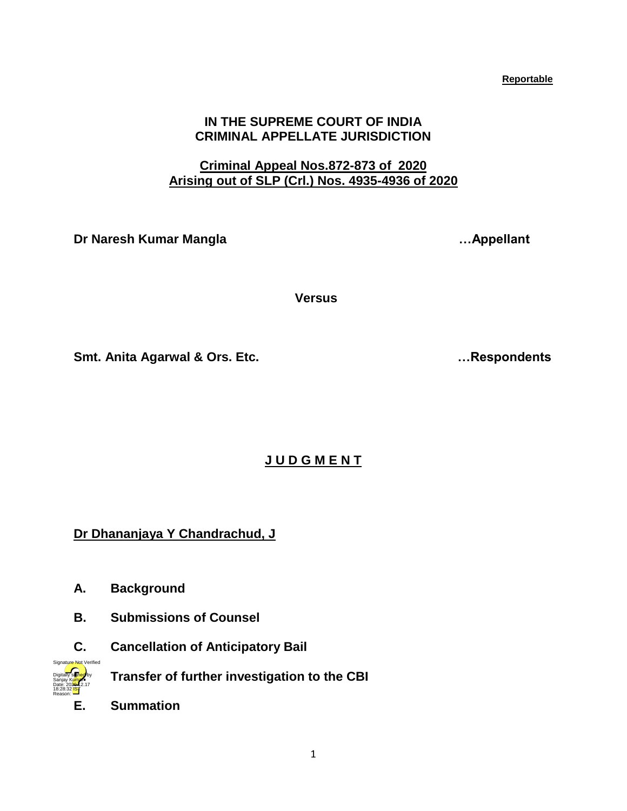1

**Reportable** 

## **IN THE SUPREME COURT OF INDIA CRIMINAL APPELLATE JURISDICTION**

# **Criminal Appeal Nos.872-873 of 2020 Arising out of SLP (Crl.) Nos. 4935-4936 of 2020**

**Dr Naresh Kumar Mangla …Appellant**

 **Versus**

**Smt. Anita Agarwal & Ors. Etc. …Respondents**

**J U D G M E N T**

**Dr Dhananjaya Y Chandrachud, J**

- **A. Background**
- **B. Submissions of Counsel**
- **C. Cancellation of Anticipatory Bail**
	- **D. Transfer of further investigation to the CBI**
- **E. Summation**

Digitally signed by Sanjay Kumar Date: 2020.12.17 18:28:32 IST Reason:

Signature Not Verified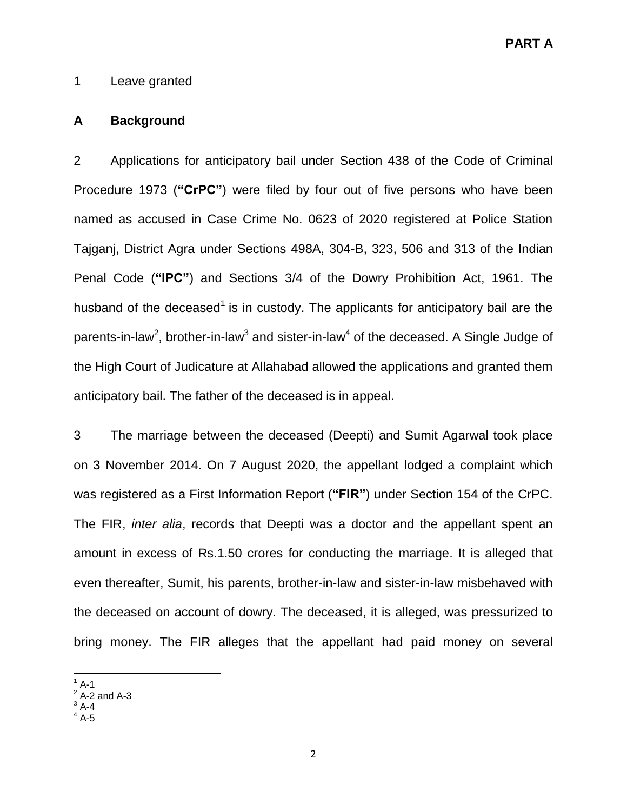**PART A** 

### 1 Leave granted

### **A Background**

2 Applications for anticipatory bail under Section 438 of the Code of Criminal Procedure 1973 (**"CrPC"**) were filed by four out of five persons who have been named as accused in Case Crime No. 0623 of 2020 registered at Police Station Tajganj, District Agra under Sections 498A, 304-B, 323, 506 and 313 of the Indian Penal Code (**"IPC"**) and Sections 3/4 of the Dowry Prohibition Act, 1961. The husband of the deceased<sup>1</sup> is in custody. The applicants for anticipatory bail are the parents-in-law<sup>2</sup>, brother-in-law<sup>3</sup> and sister-in-law<sup>4</sup> of the deceased. A Single Judge of the High Court of Judicature at Allahabad allowed the applications and granted them anticipatory bail. The father of the deceased is in appeal.

3 The marriage between the deceased (Deepti) and Sumit Agarwal took place on 3 November 2014. On 7 August 2020, the appellant lodged a complaint which was registered as a First Information Report (**"FIR"**) under Section 154 of the CrPC. The FIR, *inter alia*, records that Deepti was a doctor and the appellant spent an amount in excess of Rs.1.50 crores for conducting the marriage. It is alleged that even thereafter, Sumit, his parents, brother-in-law and sister-in-law misbehaved with the deceased on account of dowry. The deceased, it is alleged, was pressurized to bring money. The FIR alleges that the appellant had paid money on several

 $\overline{\phantom{a}}$  $1^1$  A-1

 $2$  A-2 and A-3

 $3$  A-4

 $4A-5$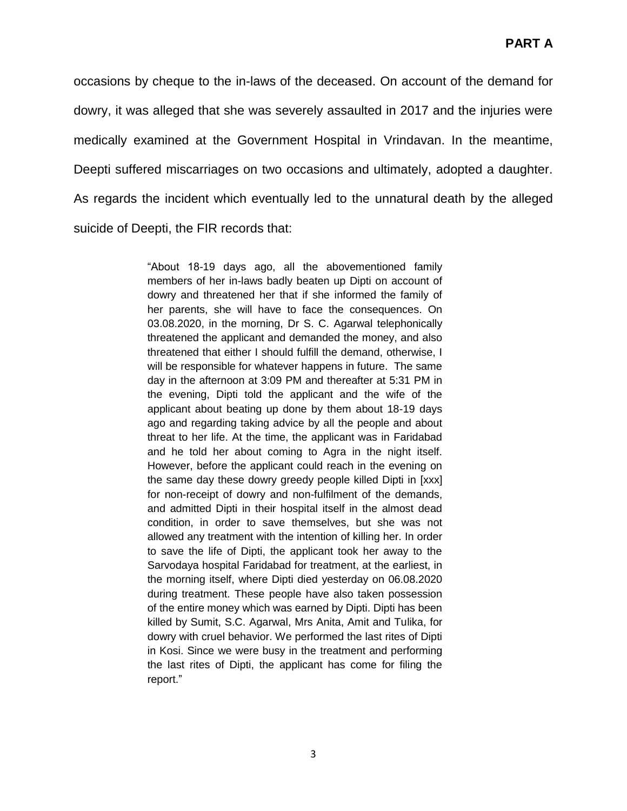occasions by cheque to the in-laws of the deceased. On account of the demand for dowry, it was alleged that she was severely assaulted in 2017 and the injuries were medically examined at the Government Hospital in Vrindavan. In the meantime, Deepti suffered miscarriages on two occasions and ultimately, adopted a daughter. As regards the incident which eventually led to the unnatural death by the alleged suicide of Deepti, the FIR records that:

> "About 18-19 days ago, all the abovementioned family members of her in-laws badly beaten up Dipti on account of dowry and threatened her that if she informed the family of her parents, she will have to face the consequences. On 03.08.2020, in the morning, Dr S. C. Agarwal telephonically threatened the applicant and demanded the money, and also threatened that either I should fulfill the demand, otherwise, I will be responsible for whatever happens in future. The same day in the afternoon at 3:09 PM and thereafter at 5:31 PM in the evening, Dipti told the applicant and the wife of the applicant about beating up done by them about 18-19 days ago and regarding taking advice by all the people and about threat to her life. At the time, the applicant was in Faridabad and he told her about coming to Agra in the night itself. However, before the applicant could reach in the evening on the same day these dowry greedy people killed Dipti in [xxx] for non-receipt of dowry and non-fulfilment of the demands, and admitted Dipti in their hospital itself in the almost dead condition, in order to save themselves, but she was not allowed any treatment with the intention of killing her. In order to save the life of Dipti, the applicant took her away to the Sarvodaya hospital Faridabad for treatment, at the earliest, in the morning itself, where Dipti died yesterday on 06.08.2020 during treatment. These people have also taken possession of the entire money which was earned by Dipti. Dipti has been killed by Sumit, S.C. Agarwal, Mrs Anita, Amit and Tulika, for dowry with cruel behavior. We performed the last rites of Dipti in Kosi. Since we were busy in the treatment and performing the last rites of Dipti, the applicant has come for filing the report."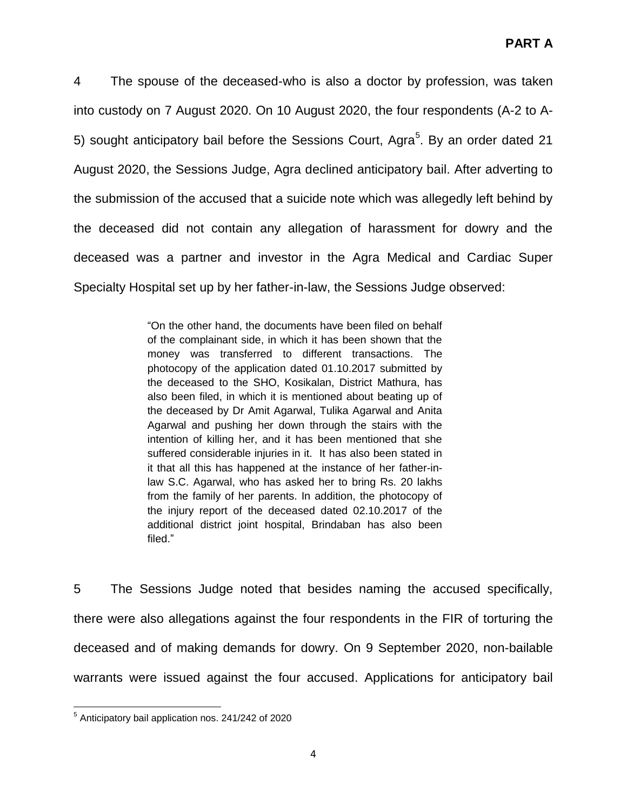4 The spouse of the deceased-who is also a doctor by profession, was taken into custody on 7 August 2020. On 10 August 2020, the four respondents (A-2 to A-5) sought anticipatory bail before the Sessions Court, Agra<sup>5</sup>. By an order dated 21 August 2020, the Sessions Judge, Agra declined anticipatory bail. After adverting to the submission of the accused that a suicide note which was allegedly left behind by the deceased did not contain any allegation of harassment for dowry and the deceased was a partner and investor in the Agra Medical and Cardiac Super Specialty Hospital set up by her father-in-law, the Sessions Judge observed:

> "On the other hand, the documents have been filed on behalf of the complainant side, in which it has been shown that the money was transferred to different transactions. The photocopy of the application dated 01.10.2017 submitted by the deceased to the SHO, Kosikalan, District Mathura, has also been filed, in which it is mentioned about beating up of the deceased by Dr Amit Agarwal, Tulika Agarwal and Anita Agarwal and pushing her down through the stairs with the intention of killing her, and it has been mentioned that she suffered considerable injuries in it. It has also been stated in it that all this has happened at the instance of her father-inlaw S.C. Agarwal, who has asked her to bring Rs. 20 lakhs from the family of her parents. In addition, the photocopy of the injury report of the deceased dated 02.10.2017 of the additional district joint hospital, Brindaban has also been filed."

5 The Sessions Judge noted that besides naming the accused specifically, there were also allegations against the four respondents in the FIR of torturing the deceased and of making demands for dowry. On 9 September 2020, non-bailable warrants were issued against the four accused. Applications for anticipatory bail

l <sup>5</sup> Anticipatory bail application nos. 241/242 of 2020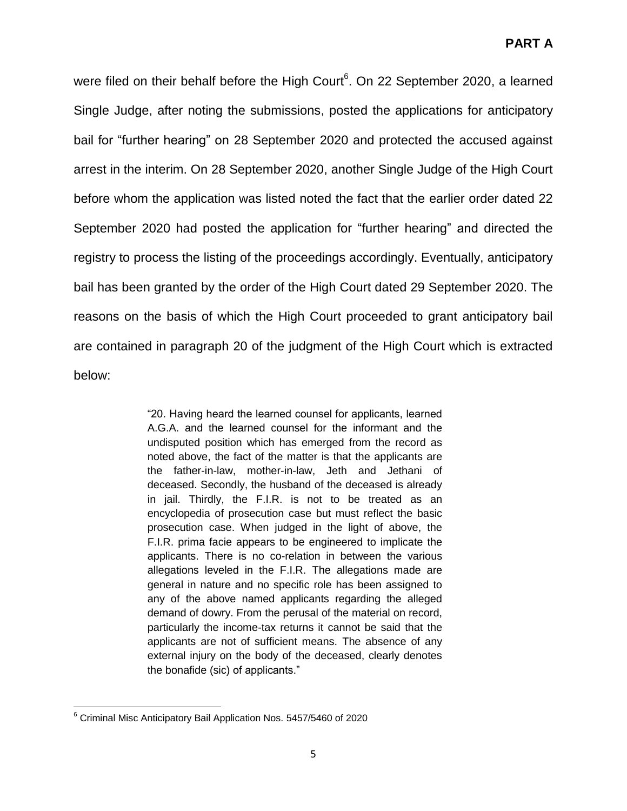were filed on their behalf before the High Court<sup>6</sup>. On 22 September 2020, a learned Single Judge, after noting the submissions, posted the applications for anticipatory bail for "further hearing" on 28 September 2020 and protected the accused against arrest in the interim. On 28 September 2020, another Single Judge of the High Court before whom the application was listed noted the fact that the earlier order dated 22 September 2020 had posted the application for "further hearing" and directed the registry to process the listing of the proceedings accordingly. Eventually, anticipatory bail has been granted by the order of the High Court dated 29 September 2020. The reasons on the basis of which the High Court proceeded to grant anticipatory bail are contained in paragraph 20 of the judgment of the High Court which is extracted below:

> "20. Having heard the learned counsel for applicants, learned A.G.A. and the learned counsel for the informant and the undisputed position which has emerged from the record as noted above, the fact of the matter is that the applicants are the father-in-law, mother-in-law, Jeth and Jethani of deceased. Secondly, the husband of the deceased is already in jail. Thirdly, the F.I.R. is not to be treated as an encyclopedia of prosecution case but must reflect the basic prosecution case. When judged in the light of above, the F.I.R. prima facie appears to be engineered to implicate the applicants. There is no co-relation in between the various allegations leveled in the F.I.R. The allegations made are general in nature and no specific role has been assigned to any of the above named applicants regarding the alleged demand of dowry. From the perusal of the material on record, particularly the income-tax returns it cannot be said that the applicants are not of sufficient means. The absence of any external injury on the body of the deceased, clearly denotes the bonafide (sic) of applicants."

l  $6$  Criminal Misc Anticipatory Bail Application Nos. 5457/5460 of 2020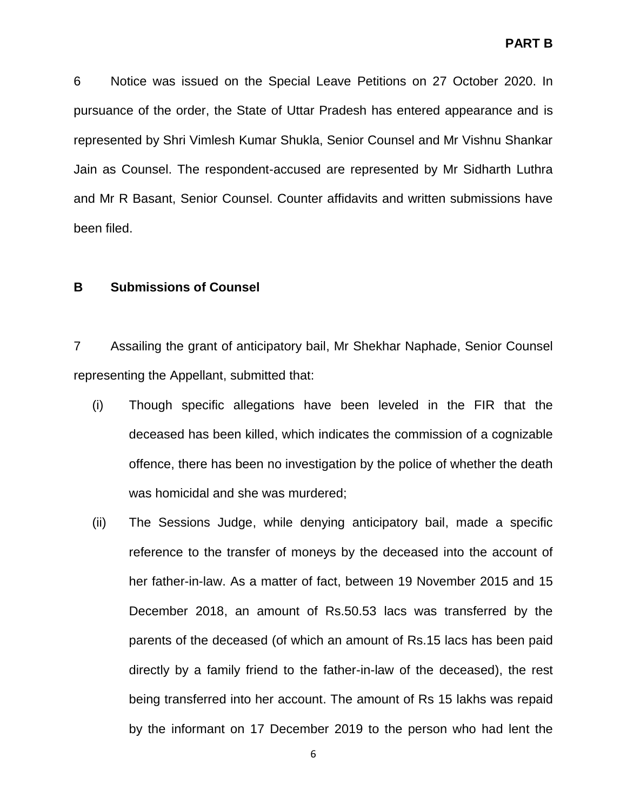6 Notice was issued on the Special Leave Petitions on 27 October 2020. In pursuance of the order, the State of Uttar Pradesh has entered appearance and is represented by Shri Vimlesh Kumar Shukla, Senior Counsel and Mr Vishnu Shankar Jain as Counsel. The respondent-accused are represented by Mr Sidharth Luthra and Mr R Basant, Senior Counsel. Counter affidavits and written submissions have been filed.

### **B Submissions of Counsel**

7 Assailing the grant of anticipatory bail, Mr Shekhar Naphade, Senior Counsel representing the Appellant, submitted that:

- (i) Though specific allegations have been leveled in the FIR that the deceased has been killed, which indicates the commission of a cognizable offence, there has been no investigation by the police of whether the death was homicidal and she was murdered;
- (ii) The Sessions Judge, while denying anticipatory bail, made a specific reference to the transfer of moneys by the deceased into the account of her father-in-law. As a matter of fact, between 19 November 2015 and 15 December 2018, an amount of Rs.50.53 lacs was transferred by the parents of the deceased (of which an amount of Rs.15 lacs has been paid directly by a family friend to the father-in-law of the deceased), the rest being transferred into her account. The amount of Rs 15 lakhs was repaid by the informant on 17 December 2019 to the person who had lent the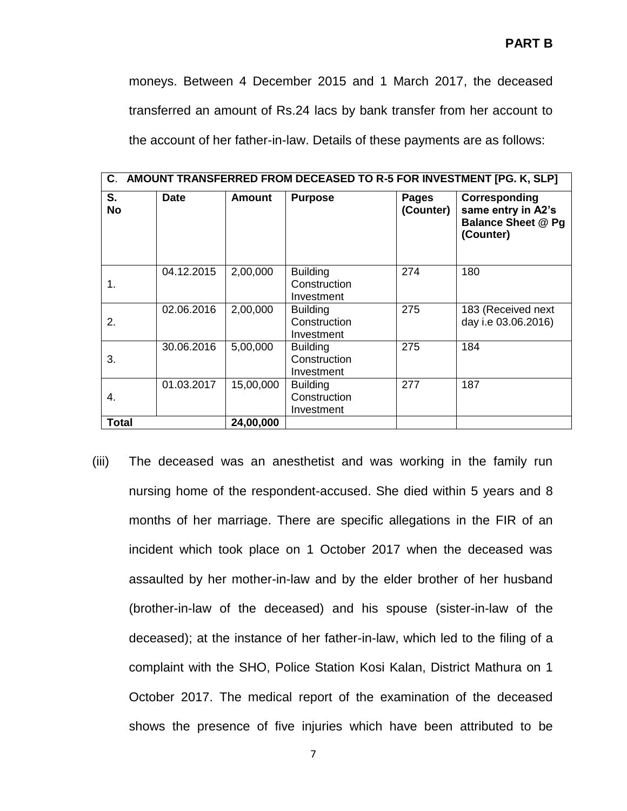moneys. Between 4 December 2015 and 1 March 2017, the deceased transferred an amount of Rs.24 lacs by bank transfer from her account to the account of her father-in-law. Details of these payments are as follows:

| C. AMOUNT TRANSFERRED FROM DECEASED TO R-5 FOR INVESTMENT [PG. K, SLP] |             |               |                                               |                    |                                                                               |
|------------------------------------------------------------------------|-------------|---------------|-----------------------------------------------|--------------------|-------------------------------------------------------------------------------|
| S.<br><b>No</b>                                                        | <b>Date</b> | <b>Amount</b> | <b>Purpose</b>                                | Pages<br>(Counter) | Corresponding<br>same entry in A2's<br><b>Balance Sheet @ Pg</b><br>(Counter) |
| 1.                                                                     | 04.12.2015  | 2,00,000      | <b>Building</b><br>Construction<br>Investment | 274                | 180                                                                           |
| 2.                                                                     | 02.06.2016  | 2,00,000      | <b>Building</b><br>Construction<br>Investment | 275                | 183 (Received next<br>day i.e 03.06.2016)                                     |
| 3.                                                                     | 30.06.2016  | 5,00,000      | <b>Building</b><br>Construction<br>Investment | 275                | 184                                                                           |
| 4.                                                                     | 01.03.2017  | 15,00,000     | <b>Building</b><br>Construction<br>Investment | 277                | 187                                                                           |
| <b>Total</b>                                                           |             | 24,00,000     |                                               |                    |                                                                               |

(iii) The deceased was an anesthetist and was working in the family run nursing home of the respondent-accused. She died within 5 years and 8 months of her marriage. There are specific allegations in the FIR of an incident which took place on 1 October 2017 when the deceased was assaulted by her mother-in-law and by the elder brother of her husband (brother-in-law of the deceased) and his spouse (sister-in-law of the deceased); at the instance of her father-in-law, which led to the filing of a complaint with the SHO, Police Station Kosi Kalan, District Mathura on 1 October 2017. The medical report of the examination of the deceased shows the presence of five injuries which have been attributed to be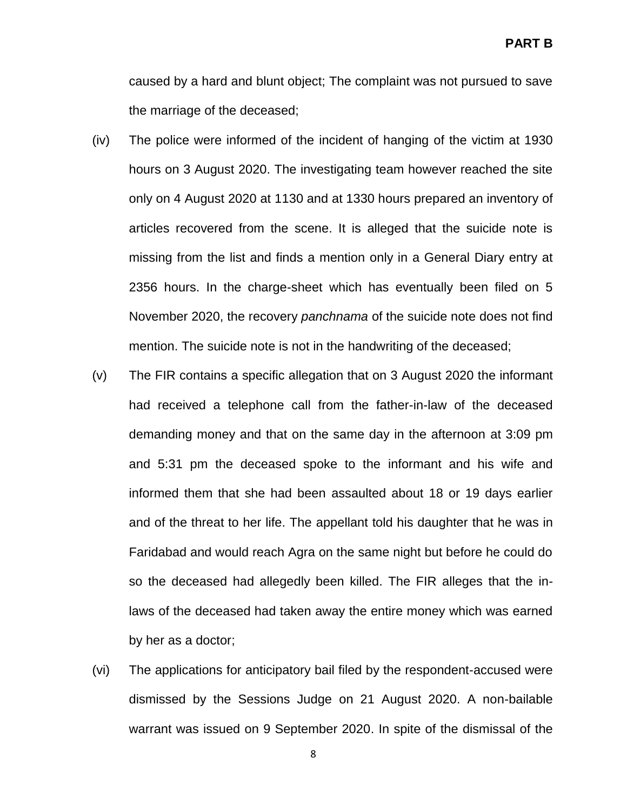caused by a hard and blunt object; The complaint was not pursued to save the marriage of the deceased;

- (iv) The police were informed of the incident of hanging of the victim at 1930 hours on 3 August 2020. The investigating team however reached the site only on 4 August 2020 at 1130 and at 1330 hours prepared an inventory of articles recovered from the scene. It is alleged that the suicide note is missing from the list and finds a mention only in a General Diary entry at 2356 hours. In the charge-sheet which has eventually been filed on 5 November 2020, the recovery *panchnama* of the suicide note does not find mention. The suicide note is not in the handwriting of the deceased;
- (v) The FIR contains a specific allegation that on 3 August 2020 the informant had received a telephone call from the father-in-law of the deceased demanding money and that on the same day in the afternoon at 3:09 pm and 5:31 pm the deceased spoke to the informant and his wife and informed them that she had been assaulted about 18 or 19 days earlier and of the threat to her life. The appellant told his daughter that he was in Faridabad and would reach Agra on the same night but before he could do so the deceased had allegedly been killed. The FIR alleges that the inlaws of the deceased had taken away the entire money which was earned by her as a doctor;
- (vi) The applications for anticipatory bail filed by the respondent-accused were dismissed by the Sessions Judge on 21 August 2020. A non-bailable warrant was issued on 9 September 2020. In spite of the dismissal of the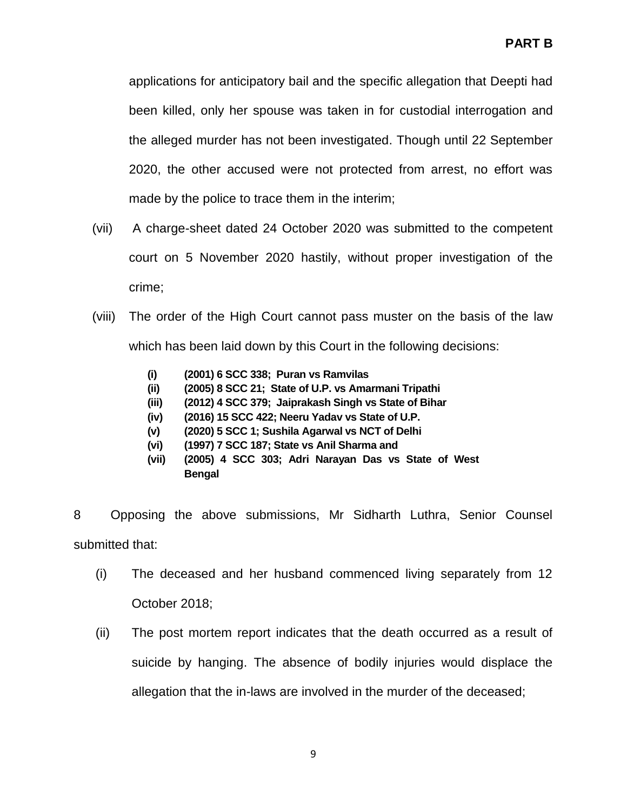applications for anticipatory bail and the specific allegation that Deepti had been killed, only her spouse was taken in for custodial interrogation and the alleged murder has not been investigated. Though until 22 September 2020, the other accused were not protected from arrest, no effort was made by the police to trace them in the interim;

- (vii) A charge-sheet dated 24 October 2020 was submitted to the competent court on 5 November 2020 hastily, without proper investigation of the crime;
- (viii) The order of the High Court cannot pass muster on the basis of the law which has been laid down by this Court in the following decisions:
	- **(i) (2001) 6 SCC 338; Puran vs Ramvilas**
	- **(ii) (2005) 8 SCC 21; State of U.P. vs Amarmani Tripathi**
	- **(iii) (2012) 4 SCC 379; Jaiprakash Singh vs State of Bihar**
	- **(iv) (2016) 15 SCC 422; Neeru Yadav vs State of U.P.**
	- **(v) (2020) 5 SCC 1; Sushila Agarwal vs NCT of Delhi**
	- **(vi) (1997) 7 SCC 187; State vs Anil Sharma and**
	- **(vii) (2005) 4 SCC 303; Adri Narayan Das vs State of West Bengal**

8 Opposing the above submissions, Mr Sidharth Luthra, Senior Counsel submitted that:

- (i) The deceased and her husband commenced living separately from 12 October 2018;
- (ii) The post mortem report indicates that the death occurred as a result of suicide by hanging. The absence of bodily injuries would displace the allegation that the in-laws are involved in the murder of the deceased;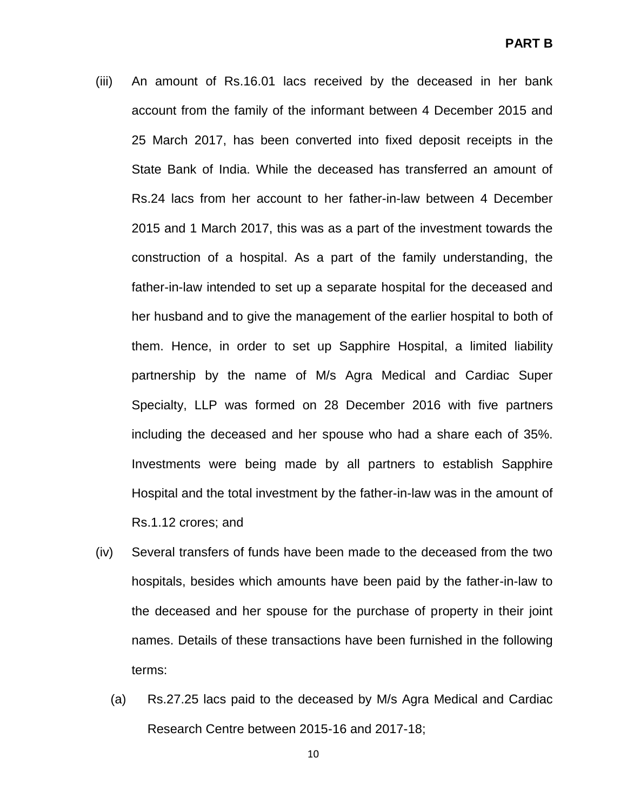- (iii) An amount of Rs.16.01 lacs received by the deceased in her bank account from the family of the informant between 4 December 2015 and 25 March 2017, has been converted into fixed deposit receipts in the State Bank of India. While the deceased has transferred an amount of Rs.24 lacs from her account to her father-in-law between 4 December 2015 and 1 March 2017, this was as a part of the investment towards the construction of a hospital. As a part of the family understanding, the father-in-law intended to set up a separate hospital for the deceased and her husband and to give the management of the earlier hospital to both of them. Hence, in order to set up Sapphire Hospital, a limited liability partnership by the name of M/s Agra Medical and Cardiac Super Specialty, LLP was formed on 28 December 2016 with five partners including the deceased and her spouse who had a share each of 35%. Investments were being made by all partners to establish Sapphire Hospital and the total investment by the father-in-law was in the amount of Rs.1.12 crores; and
- (iv) Several transfers of funds have been made to the deceased from the two hospitals, besides which amounts have been paid by the father-in-law to the deceased and her spouse for the purchase of property in their joint names. Details of these transactions have been furnished in the following terms:
	- (a) Rs.27.25 lacs paid to the deceased by M/s Agra Medical and Cardiac Research Centre between 2015-16 and 2017-18;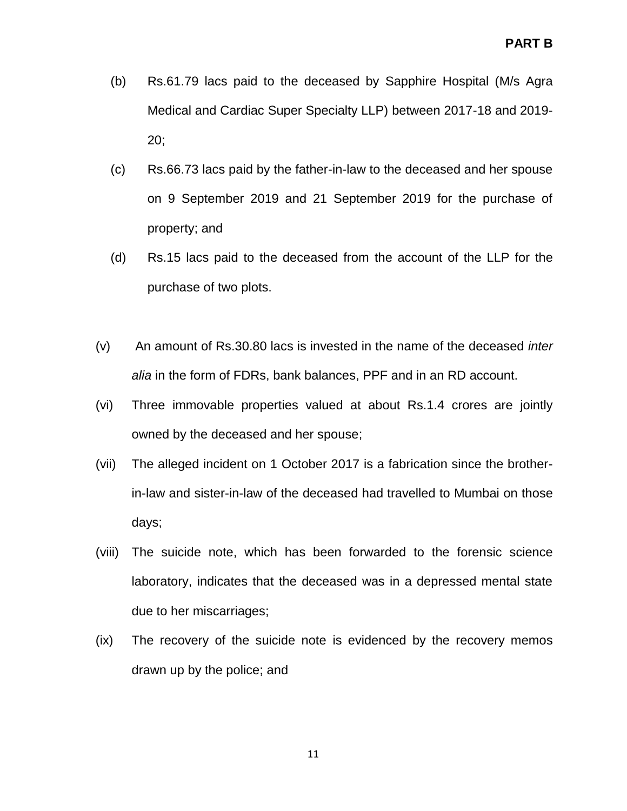- (b) Rs.61.79 lacs paid to the deceased by Sapphire Hospital (M/s Agra Medical and Cardiac Super Specialty LLP) between 2017-18 and 2019- 20;
- (c) Rs.66.73 lacs paid by the father-in-law to the deceased and her spouse on 9 September 2019 and 21 September 2019 for the purchase of property; and
- (d) Rs.15 lacs paid to the deceased from the account of the LLP for the purchase of two plots.
- (v) An amount of Rs.30.80 lacs is invested in the name of the deceased *inter alia* in the form of FDRs, bank balances, PPF and in an RD account.
- (vi) Three immovable properties valued at about Rs.1.4 crores are jointly owned by the deceased and her spouse;
- (vii) The alleged incident on 1 October 2017 is a fabrication since the brotherin-law and sister-in-law of the deceased had travelled to Mumbai on those days;
- (viii) The suicide note, which has been forwarded to the forensic science laboratory, indicates that the deceased was in a depressed mental state due to her miscarriages;
- (ix) The recovery of the suicide note is evidenced by the recovery memos drawn up by the police; and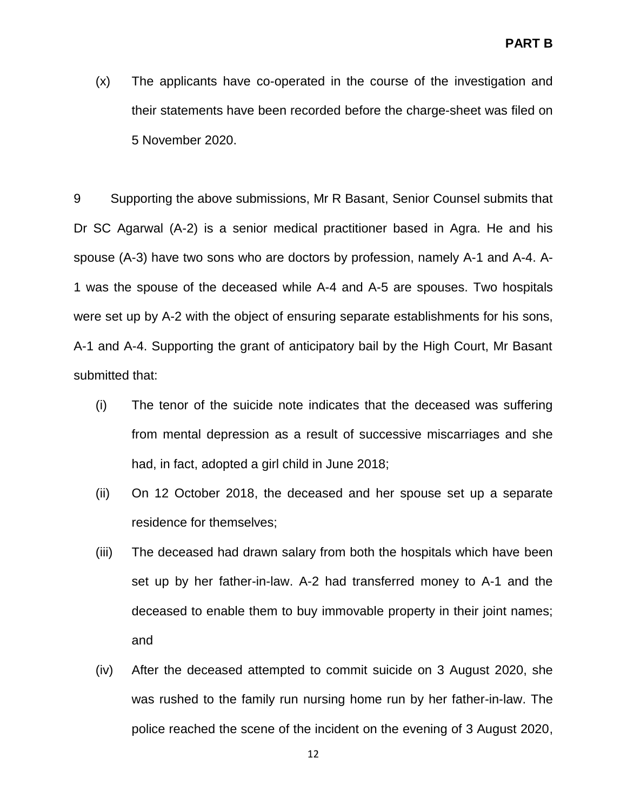(x) The applicants have co-operated in the course of the investigation and their statements have been recorded before the charge-sheet was filed on 5 November 2020.

9 Supporting the above submissions, Mr R Basant, Senior Counsel submits that Dr SC Agarwal (A-2) is a senior medical practitioner based in Agra. He and his spouse (A-3) have two sons who are doctors by profession, namely A-1 and A-4. A-1 was the spouse of the deceased while A-4 and A-5 are spouses. Two hospitals were set up by A-2 with the object of ensuring separate establishments for his sons, A-1 and A-4. Supporting the grant of anticipatory bail by the High Court, Mr Basant submitted that:

- (i) The tenor of the suicide note indicates that the deceased was suffering from mental depression as a result of successive miscarriages and she had, in fact, adopted a girl child in June 2018;
- (ii) On 12 October 2018, the deceased and her spouse set up a separate residence for themselves;
- (iii) The deceased had drawn salary from both the hospitals which have been set up by her father-in-law. A-2 had transferred money to A-1 and the deceased to enable them to buy immovable property in their joint names; and
- (iv) After the deceased attempted to commit suicide on 3 August 2020, she was rushed to the family run nursing home run by her father-in-law. The police reached the scene of the incident on the evening of 3 August 2020,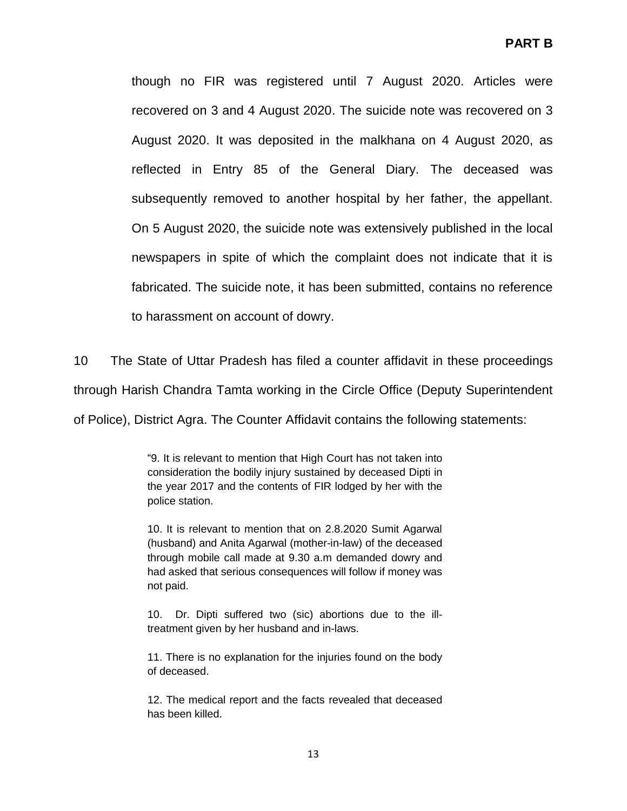though no FIR was registered until 7 August 2020. Articles were recovered on 3 and 4 August 2020. The suicide note was recovered on 3 August 2020. It was deposited in the malkhana on 4 August 2020, as reflected in Entry 85 of the General Diary. The deceased was subsequently removed to another hospital by her father, the appellant. On 5 August 2020, the suicide note was extensively published in the local newspapers in spite of which the complaint does not indicate that it is fabricated. The suicide note, it has been submitted, contains no reference to harassment on account of dowry.

10 The State of Uttar Pradesh has filed a counter affidavit in these proceedings through Harish Chandra Tamta working in the Circle Office (Deputy Superintendent of Police), District Agra. The Counter Affidavit contains the following statements:

> "9. It is relevant to mention that High Court has not taken into consideration the bodily injury sustained by deceased Dipti in the year 2017 and the contents of FIR lodged by her with the police station.

> 10. It is relevant to mention that on 2.8.2020 Sumit Agarwal (husband) and Anita Agarwal (mother-in-law) of the deceased through mobile call made at 9.30 a.m demanded dowry and had asked that serious consequences will follow if money was not paid.

> 10. Dr. Dipti suffered two (sic) abortions due to the illtreatment given by her husband and in-laws.

> 11. There is no explanation for the injuries found on the body of deceased.

> 12. The medical report and the facts revealed that deceased has been killed.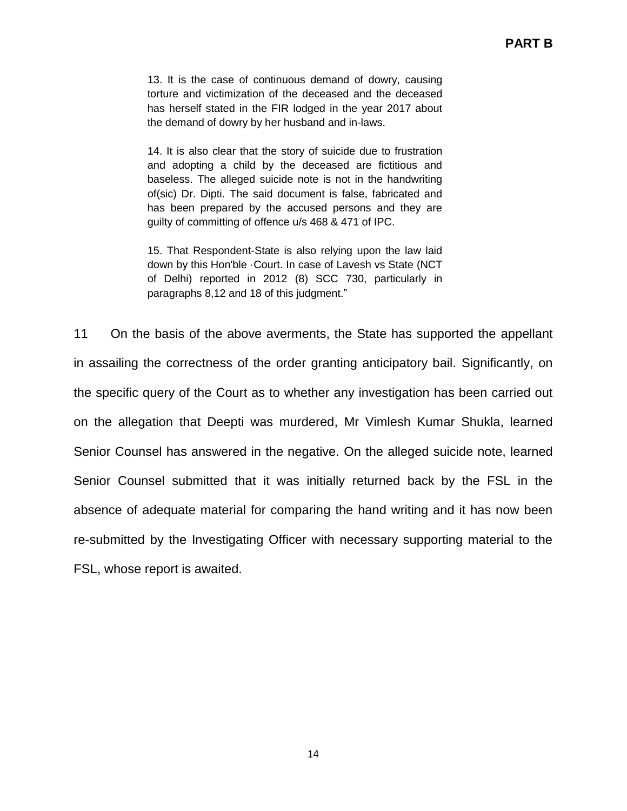13. It is the case of continuous demand of dowry, causing torture and victimization of the deceased and the deceased has herself stated in the FIR lodged in the year 2017 about the demand of dowry by her husband and in-laws.

14. It is also clear that the story of suicide due to frustration and adopting a child by the deceased are fictitious and baseless. The alleged suicide note is not in the handwriting of(sic) Dr. Dipti. The said document is false, fabricated and has been prepared by the accused persons and they are guilty of committing of offence u/s 468 & 471 of IPC.

15. That Respondent-State is also relying upon the law laid down by this Hon'ble ·Court. In case of Lavesh vs State (NCT of Delhi) reported in 2012 (8) SCC 730, particularly in paragraphs 8,12 and 18 of this judgment."

11 On the basis of the above averments, the State has supported the appellant in assailing the correctness of the order granting anticipatory bail. Significantly, on the specific query of the Court as to whether any investigation has been carried out on the allegation that Deepti was murdered, Mr Vimlesh Kumar Shukla, learned Senior Counsel has answered in the negative. On the alleged suicide note, learned Senior Counsel submitted that it was initially returned back by the FSL in the absence of adequate material for comparing the hand writing and it has now been re-submitted by the Investigating Officer with necessary supporting material to the FSL, whose report is awaited.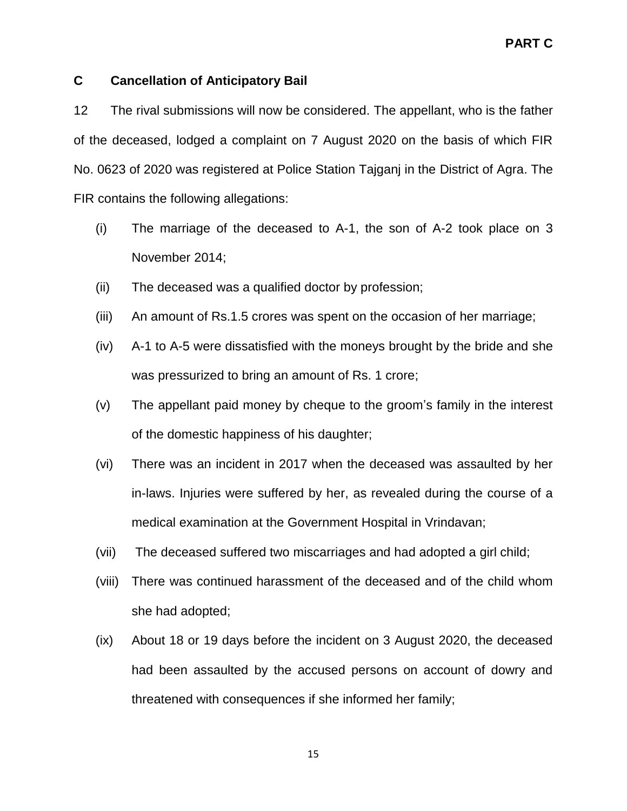## **C Cancellation of Anticipatory Bail**

12 The rival submissions will now be considered. The appellant, who is the father of the deceased, lodged a complaint on 7 August 2020 on the basis of which FIR No. 0623 of 2020 was registered at Police Station Tajganj in the District of Agra. The FIR contains the following allegations:

- (i) The marriage of the deceased to A-1, the son of A-2 took place on 3 November 2014;
- (ii) The deceased was a qualified doctor by profession;
- (iii) An amount of Rs.1.5 crores was spent on the occasion of her marriage;
- (iv) A-1 to A-5 were dissatisfied with the moneys brought by the bride and she was pressurized to bring an amount of Rs. 1 crore;
- (v) The appellant paid money by cheque to the groom"s family in the interest of the domestic happiness of his daughter;
- (vi) There was an incident in 2017 when the deceased was assaulted by her in-laws. Injuries were suffered by her, as revealed during the course of a medical examination at the Government Hospital in Vrindavan;
- (vii) The deceased suffered two miscarriages and had adopted a girl child;
- (viii) There was continued harassment of the deceased and of the child whom she had adopted;
- (ix) About 18 or 19 days before the incident on 3 August 2020, the deceased had been assaulted by the accused persons on account of dowry and threatened with consequences if she informed her family;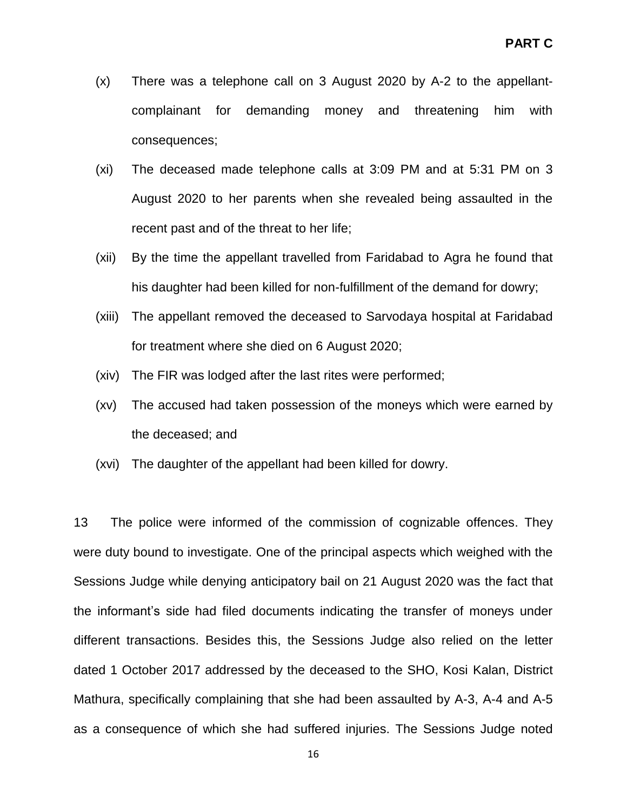- (x) There was a telephone call on 3 August 2020 by A-2 to the appellantcomplainant for demanding money and threatening him with consequences;
- (xi) The deceased made telephone calls at 3:09 PM and at 5:31 PM on 3 August 2020 to her parents when she revealed being assaulted in the recent past and of the threat to her life;
- (xii) By the time the appellant travelled from Faridabad to Agra he found that his daughter had been killed for non-fulfillment of the demand for dowry;
- (xiii) The appellant removed the deceased to Sarvodaya hospital at Faridabad for treatment where she died on 6 August 2020;
- (xiv) The FIR was lodged after the last rites were performed;
- (xv) The accused had taken possession of the moneys which were earned by the deceased; and
- (xvi) The daughter of the appellant had been killed for dowry.

13 The police were informed of the commission of cognizable offences. They were duty bound to investigate. One of the principal aspects which weighed with the Sessions Judge while denying anticipatory bail on 21 August 2020 was the fact that the informant"s side had filed documents indicating the transfer of moneys under different transactions. Besides this, the Sessions Judge also relied on the letter dated 1 October 2017 addressed by the deceased to the SHO, Kosi Kalan, District Mathura, specifically complaining that she had been assaulted by A-3, A-4 and A-5 as a consequence of which she had suffered injuries. The Sessions Judge noted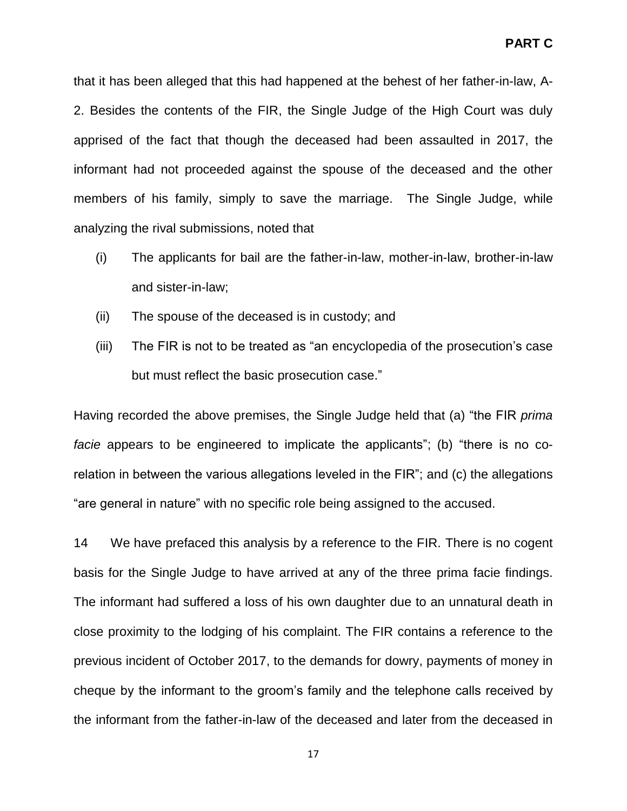that it has been alleged that this had happened at the behest of her father-in-law, A-2. Besides the contents of the FIR, the Single Judge of the High Court was duly apprised of the fact that though the deceased had been assaulted in 2017, the informant had not proceeded against the spouse of the deceased and the other members of his family, simply to save the marriage. The Single Judge, while analyzing the rival submissions, noted that

- (i) The applicants for bail are the father-in-law, mother-in-law, brother-in-law and sister-in-law;
- (ii) The spouse of the deceased is in custody; and
- (iii) The FIR is not to be treated as "an encyclopedia of the prosecution"s case but must reflect the basic prosecution case."

Having recorded the above premises, the Single Judge held that (a) "the FIR *prima facie* appears to be engineered to implicate the applicants"; (b) "there is no corelation in between the various allegations leveled in the FIR"; and (c) the allegations "are general in nature" with no specific role being assigned to the accused.

14 We have prefaced this analysis by a reference to the FIR. There is no cogent basis for the Single Judge to have arrived at any of the three prima facie findings. The informant had suffered a loss of his own daughter due to an unnatural death in close proximity to the lodging of his complaint. The FIR contains a reference to the previous incident of October 2017, to the demands for dowry, payments of money in cheque by the informant to the groom"s family and the telephone calls received by the informant from the father-in-law of the deceased and later from the deceased in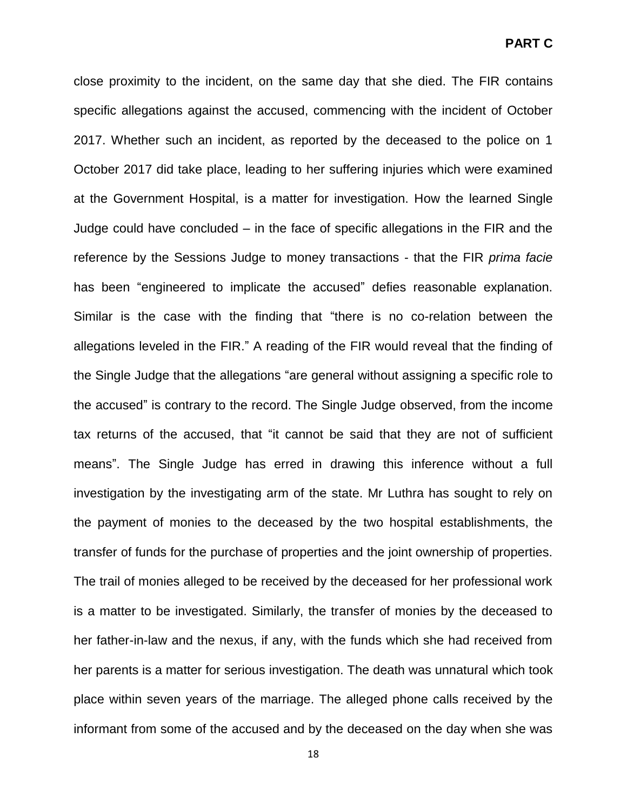close proximity to the incident, on the same day that she died. The FIR contains specific allegations against the accused, commencing with the incident of October 2017. Whether such an incident, as reported by the deceased to the police on 1 October 2017 did take place, leading to her suffering injuries which were examined at the Government Hospital, is a matter for investigation. How the learned Single Judge could have concluded – in the face of specific allegations in the FIR and the reference by the Sessions Judge to money transactions - that the FIR *prima facie* has been "engineered to implicate the accused" defies reasonable explanation. Similar is the case with the finding that "there is no co-relation between the allegations leveled in the FIR." A reading of the FIR would reveal that the finding of the Single Judge that the allegations "are general without assigning a specific role to the accused" is contrary to the record. The Single Judge observed, from the income tax returns of the accused, that "it cannot be said that they are not of sufficient means". The Single Judge has erred in drawing this inference without a full investigation by the investigating arm of the state. Mr Luthra has sought to rely on the payment of monies to the deceased by the two hospital establishments, the transfer of funds for the purchase of properties and the joint ownership of properties. The trail of monies alleged to be received by the deceased for her professional work is a matter to be investigated. Similarly, the transfer of monies by the deceased to her father-in-law and the nexus, if any, with the funds which she had received from her parents is a matter for serious investigation. The death was unnatural which took place within seven years of the marriage. The alleged phone calls received by the informant from some of the accused and by the deceased on the day when she was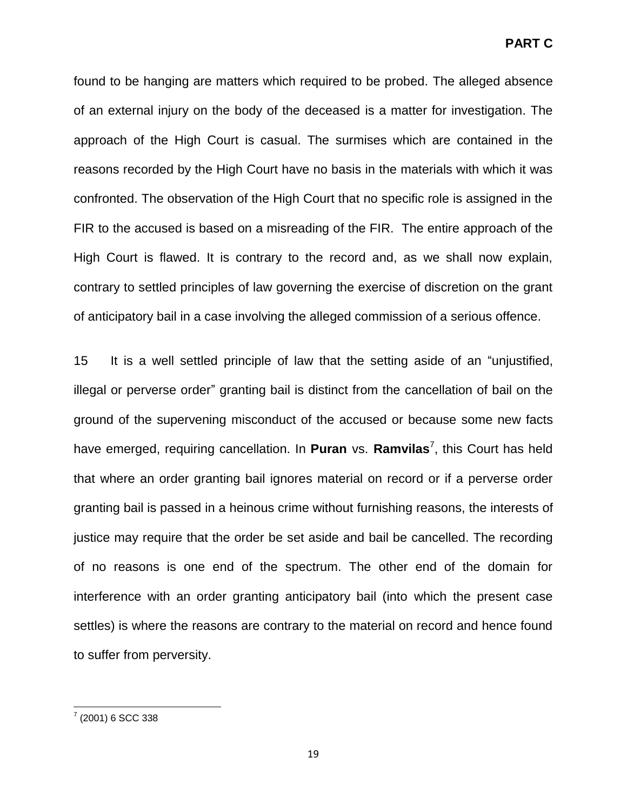found to be hanging are matters which required to be probed. The alleged absence of an external injury on the body of the deceased is a matter for investigation. The approach of the High Court is casual. The surmises which are contained in the reasons recorded by the High Court have no basis in the materials with which it was confronted. The observation of the High Court that no specific role is assigned in the FIR to the accused is based on a misreading of the FIR. The entire approach of the High Court is flawed. It is contrary to the record and, as we shall now explain, contrary to settled principles of law governing the exercise of discretion on the grant of anticipatory bail in a case involving the alleged commission of a serious offence.

15 It is a well settled principle of law that the setting aside of an "unjustified, illegal or perverse order" granting bail is distinct from the cancellation of bail on the ground of the supervening misconduct of the accused or because some new facts have emerged, requiring cancellation. In Puran vs. Ramvilas<sup>7</sup>, this Court has held that where an order granting bail ignores material on record or if a perverse order granting bail is passed in a heinous crime without furnishing reasons, the interests of justice may require that the order be set aside and bail be cancelled. The recording of no reasons is one end of the spectrum. The other end of the domain for interference with an order granting anticipatory bail (into which the present case settles) is where the reasons are contrary to the material on record and hence found to suffer from perversity.

 7 (2001) 6 SCC 338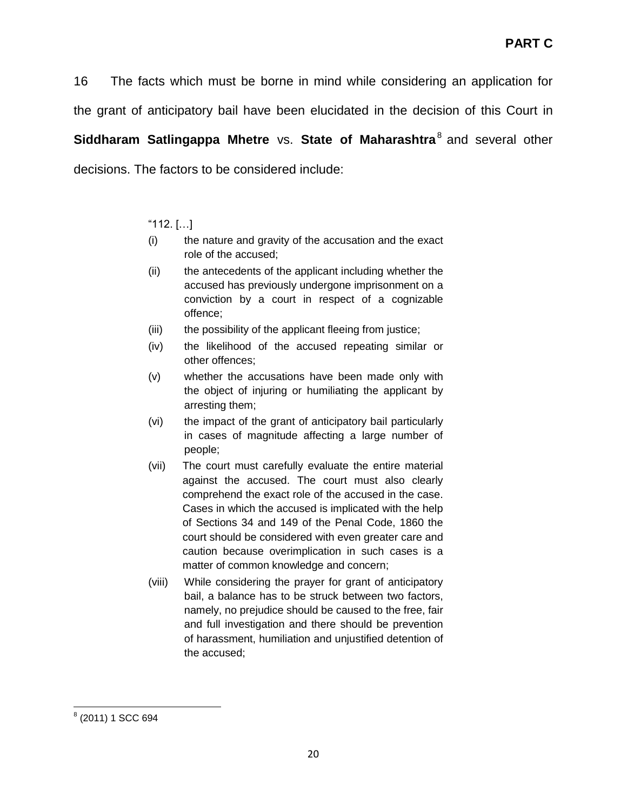16 The facts which must be borne in mind while considering an application for the grant of anticipatory bail have been elucidated in the decision of this Court in **Siddharam Satlingappa Mhetre** vs. **State of Maharashtra**<sup>8</sup> and several other

decisions. The factors to be considered include:

## "112. […]

- (i) the nature and gravity of the accusation and the exact role of the accused;
- (ii) the antecedents of the applicant including whether the accused has previously undergone imprisonment on a conviction by a court in respect of a cognizable offence;
- (iii) the possibility of the applicant fleeing from justice;
- (iv) the likelihood of the accused repeating similar or other offences;
- (v) whether the accusations have been made only with the object of injuring or humiliating the applicant by arresting them;
- (vi) the impact of the grant of anticipatory bail particularly in cases of magnitude affecting a large number of people;
- (vii) The court must carefully evaluate the entire material against the accused. The court must also clearly comprehend the exact role of the accused in the case. Cases in which the accused is implicated with the help of Sections 34 and 149 of the Penal Code, 1860 the court should be considered with even greater care and caution because overimplication in such cases is a matter of common knowledge and concern;
- (viii) While considering the prayer for grant of anticipatory bail, a balance has to be struck between two factors, namely, no prejudice should be caused to the free, fair and full investigation and there should be prevention of harassment, humiliation and unjustified detention of the accused;

l 8 (2011) 1 SCC 694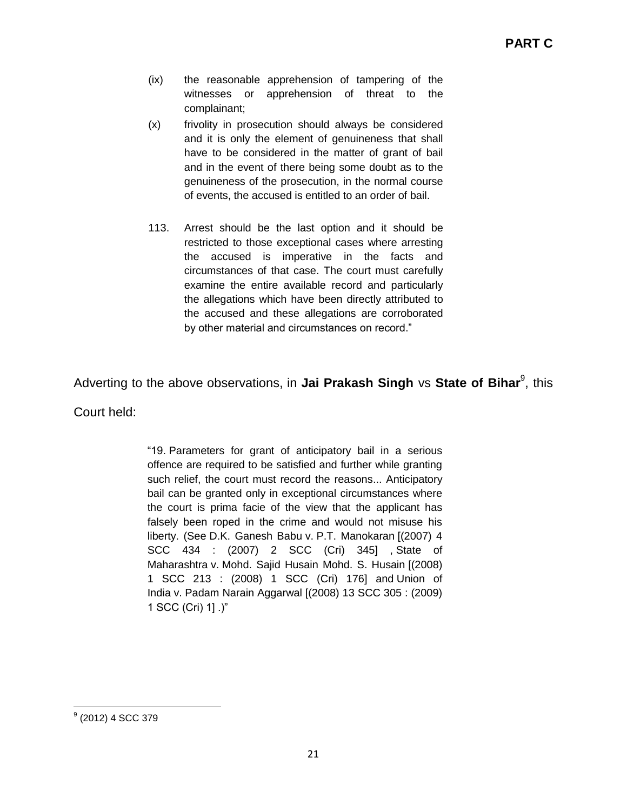- (ix) the reasonable apprehension of tampering of the witnesses or apprehension of threat to the complainant;
- (x) frivolity in prosecution should always be considered and it is only the element of genuineness that shall have to be considered in the matter of grant of bail and in the event of there being some doubt as to the genuineness of the prosecution, in the normal course of events, the accused is entitled to an order of bail.
- 113. Arrest should be the last option and it should be restricted to those exceptional cases where arresting the accused is imperative in the facts and circumstances of that case. The court must carefully examine the entire available record and particularly the allegations which have been directly attributed to the accused and these allegations are corroborated by other material and circumstances on record."

# Adverting to the above observations, in **Jai Prakash Singh** vs **State of Bihar**<sup>9</sup>, this

Court held:

"19. Parameters for grant of anticipatory bail in a serious offence are required to be satisfied and further while granting such relief, the court must record the reasons... Anticipatory bail can be granted only in exceptional circumstances where the court is prima facie of the view that the applicant has falsely been roped in the crime and would not misuse his liberty. (See D.K. Ganesh Babu v. P.T. Manokaran [(2007) 4 SCC 434 : (2007) 2 SCC (Cri) 345] , State of Maharashtra v. Mohd. Sajid Husain Mohd. S. Husain [(2008) 1 SCC 213 : (2008) 1 SCC (Cri) 176] and Union of India v. Padam Narain Aggarwal [(2008) 13 SCC 305 : (2009) 1 SCC (Cri) 1] .)"

l <sup>9</sup> (2012) 4 SCC 379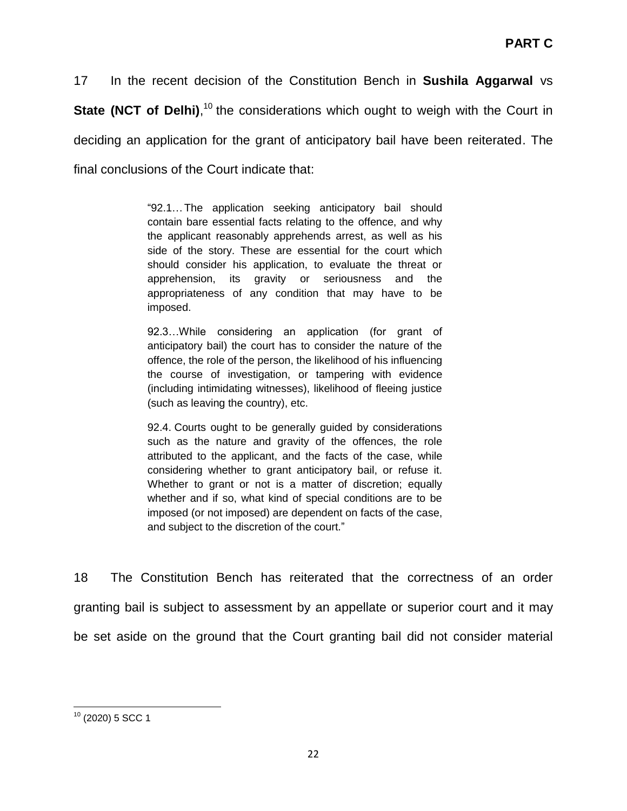17 In the recent decision of the Constitution Bench in **Sushila Aggarwal** vs **State (NCT of Delhi)**,<sup>10</sup> the considerations which ought to weigh with the Court in deciding an application for the grant of anticipatory bail have been reiterated. The final conclusions of the Court indicate that:

> "92.1…The application seeking anticipatory bail should contain bare essential facts relating to the offence, and why the applicant reasonably apprehends arrest, as well as his side of the story. These are essential for the court which should consider his application, to evaluate the threat or apprehension, its gravity or seriousness and the appropriateness of any condition that may have to be imposed.

> 92.3…While considering an application (for grant of anticipatory bail) the court has to consider the nature of the offence, the role of the person, the likelihood of his influencing the course of investigation, or tampering with evidence (including intimidating witnesses), likelihood of fleeing justice (such as leaving the country), etc.

> 92.4. Courts ought to be generally guided by considerations such as the nature and gravity of the offences, the role attributed to the applicant, and the facts of the case, while considering whether to grant anticipatory bail, or refuse it. Whether to grant or not is a matter of discretion; equally whether and if so, what kind of special conditions are to be imposed (or not imposed) are dependent on facts of the case, and subject to the discretion of the court."

18 The Constitution Bench has reiterated that the correctness of an order granting bail is subject to assessment by an appellate or superior court and it may be set aside on the ground that the Court granting bail did not consider material

l  $10$  (2020) 5 SCC 1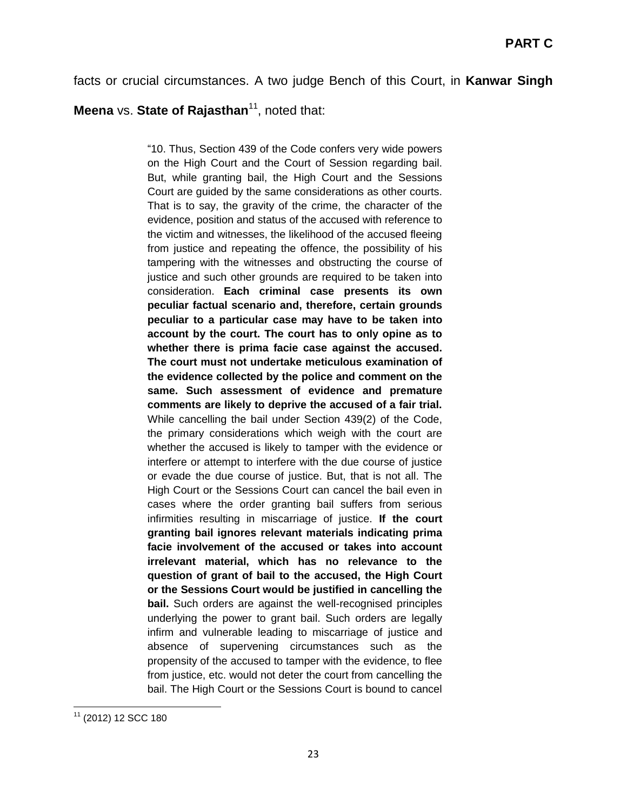facts or crucial circumstances. A two judge Bench of this Court, in **Kanwar Singh** 

# **Meena** vs. **State of Rajasthan**<sup>11</sup>, noted that:

"10. Thus, Section 439 of the Code confers very wide powers on the High Court and the Court of Session regarding bail. But, while granting bail, the High Court and the Sessions Court are guided by the same considerations as other courts. That is to say, the gravity of the crime, the character of the evidence, position and status of the accused with reference to the victim and witnesses, the likelihood of the accused fleeing from justice and repeating the offence, the possibility of his tampering with the witnesses and obstructing the course of justice and such other grounds are required to be taken into consideration. **Each criminal case presents its own peculiar factual scenario and, therefore, certain grounds peculiar to a particular case may have to be taken into account by the court. The court has to only opine as to whether there is prima facie case against the accused. The court must not undertake meticulous examination of the evidence collected by the police and comment on the same. Such assessment of evidence and premature comments are likely to deprive the accused of a fair trial.**  While cancelling the bail under Section 439(2) of the Code, the primary considerations which weigh with the court are whether the accused is likely to tamper with the evidence or interfere or attempt to interfere with the due course of justice or evade the due course of justice. But, that is not all. The High Court or the Sessions Court can cancel the bail even in cases where the order granting bail suffers from serious infirmities resulting in miscarriage of justice. **If the court granting bail ignores relevant materials indicating prima facie involvement of the accused or takes into account irrelevant material, which has no relevance to the question of grant of bail to the accused, the High Court or the Sessions Court would be justified in cancelling the bail.** Such orders are against the well-recognised principles underlying the power to grant bail. Such orders are legally infirm and vulnerable leading to miscarriage of justice and absence of supervening circumstances such as the propensity of the accused to tamper with the evidence, to flee from justice, etc. would not deter the court from cancelling the bail. The High Court or the Sessions Court is bound to cancel

l <sup>11</sup> (2012) 12 SCC 180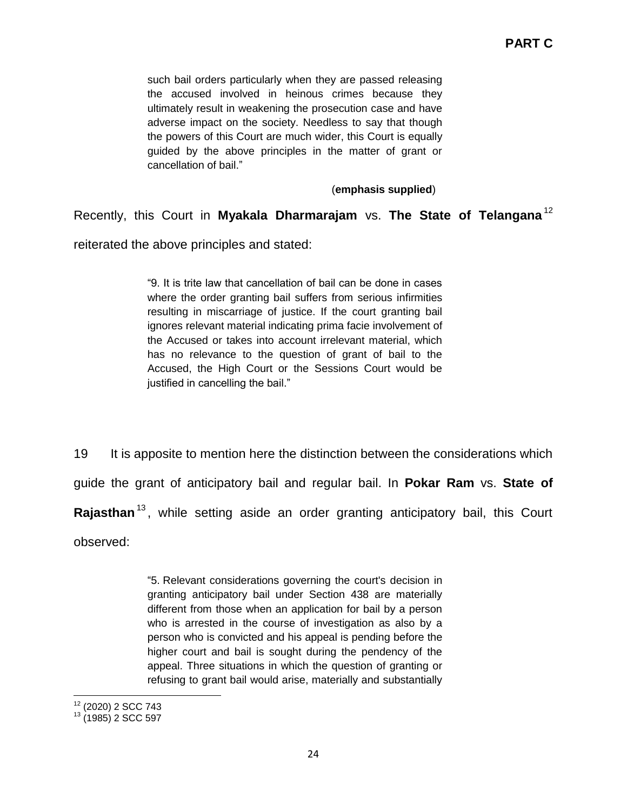such bail orders particularly when they are passed releasing the accused involved in heinous crimes because they ultimately result in weakening the prosecution case and have adverse impact on the society. Needless to say that though the powers of this Court are much wider, this Court is equally guided by the above principles in the matter of grant or cancellation of bail."

#### (**emphasis supplied**)

## Recently, this Court in **Myakala Dharmarajam** vs. **The State of Telangana** <sup>12</sup>

reiterated the above principles and stated:

"9. It is trite law that cancellation of bail can be done in cases where the order granting bail suffers from serious infirmities resulting in miscarriage of justice. If the court granting bail ignores relevant material indicating prima facie involvement of the Accused or takes into account irrelevant material, which has no relevance to the question of grant of bail to the Accused, the High Court or the Sessions Court would be justified in cancelling the bail."

19 It is apposite to mention here the distinction between the considerations which guide the grant of anticipatory bail and regular bail. In **Pokar Ram** vs. **State of Rajasthan**<sup>13</sup> , while setting aside an order granting anticipatory bail, this Court observed:

> "5. Relevant considerations governing the court's decision in granting anticipatory bail under Section 438 are materially different from those when an application for bail by a person who is arrested in the course of investigation as also by a person who is convicted and his appeal is pending before the higher court and bail is sought during the pendency of the appeal. Three situations in which the question of granting or refusing to grant bail would arise, materially and substantially

 $\overline{a}$ <sup>12</sup> (2020) 2 SCC 743

 $13$  (1985) 2 SCC 597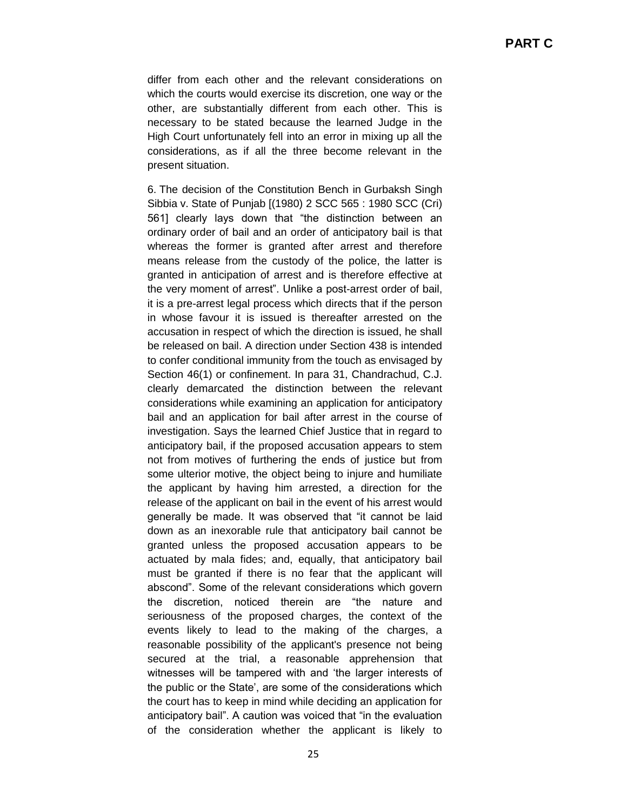differ from each other and the relevant considerations on which the courts would exercise its discretion, one way or the other, are substantially different from each other. This is necessary to be stated because the learned Judge in the High Court unfortunately fell into an error in mixing up all the considerations, as if all the three become relevant in the present situation.

6. The decision of the Constitution Bench in Gurbaksh Singh Sibbia v. State of Punjab [(1980) 2 SCC 565 : 1980 SCC (Cri) 561] clearly lays down that "the distinction between an ordinary order of bail and an order of anticipatory bail is that whereas the former is granted after arrest and therefore means release from the custody of the police, the latter is granted in anticipation of arrest and is therefore effective at the very moment of arrest". Unlike a post-arrest order of bail, it is a pre-arrest legal process which directs that if the person in whose favour it is issued is thereafter arrested on the accusation in respect of which the direction is issued, he shall be released on bail. A direction under Section 438 is intended to confer conditional immunity from the touch as envisaged by Section 46(1) or confinement. In para 31, Chandrachud, C.J. clearly demarcated the distinction between the relevant considerations while examining an application for anticipatory bail and an application for bail after arrest in the course of investigation. Says the learned Chief Justice that in regard to anticipatory bail, if the proposed accusation appears to stem not from motives of furthering the ends of justice but from some ulterior motive, the object being to injure and humiliate the applicant by having him arrested, a direction for the release of the applicant on bail in the event of his arrest would generally be made. It was observed that "it cannot be laid down as an inexorable rule that anticipatory bail cannot be granted unless the proposed accusation appears to be actuated by mala fides; and, equally, that anticipatory bail must be granted if there is no fear that the applicant will abscond". Some of the relevant considerations which govern the discretion, noticed therein are "the nature and seriousness of the proposed charges, the context of the events likely to lead to the making of the charges, a reasonable possibility of the applicant's presence not being secured at the trial, a reasonable apprehension that witnesses will be tampered with and "the larger interests of the public or the State", are some of the considerations which the court has to keep in mind while deciding an application for anticipatory bail". A caution was voiced that "in the evaluation of the consideration whether the applicant is likely to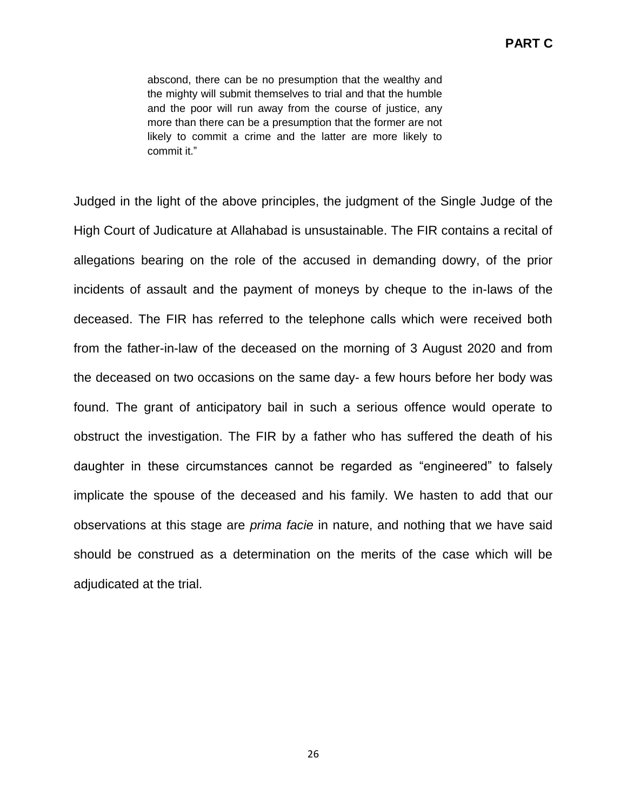abscond, there can be no presumption that the wealthy and the mighty will submit themselves to trial and that the humble and the poor will run away from the course of justice, any more than there can be a presumption that the former are not likely to commit a crime and the latter are more likely to commit it."

Judged in the light of the above principles, the judgment of the Single Judge of the High Court of Judicature at Allahabad is unsustainable. The FIR contains a recital of allegations bearing on the role of the accused in demanding dowry, of the prior incidents of assault and the payment of moneys by cheque to the in-laws of the deceased. The FIR has referred to the telephone calls which were received both from the father-in-law of the deceased on the morning of 3 August 2020 and from the deceased on two occasions on the same day- a few hours before her body was found. The grant of anticipatory bail in such a serious offence would operate to obstruct the investigation. The FIR by a father who has suffered the death of his daughter in these circumstances cannot be regarded as "engineered" to falsely implicate the spouse of the deceased and his family. We hasten to add that our observations at this stage are *prima facie* in nature, and nothing that we have said should be construed as a determination on the merits of the case which will be adjudicated at the trial.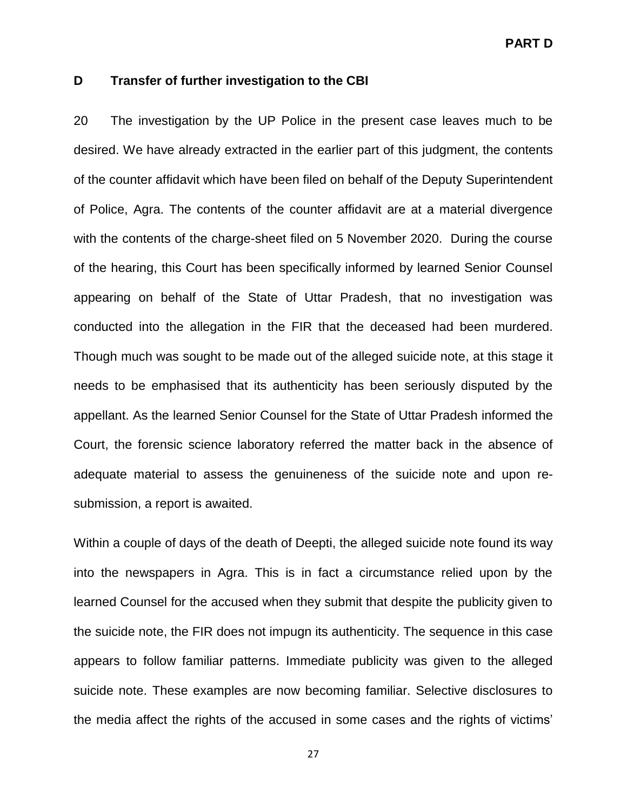**PART D**

### **D Transfer of further investigation to the CBI**

20 The investigation by the UP Police in the present case leaves much to be desired. We have already extracted in the earlier part of this judgment, the contents of the counter affidavit which have been filed on behalf of the Deputy Superintendent of Police, Agra. The contents of the counter affidavit are at a material divergence with the contents of the charge-sheet filed on 5 November 2020. During the course of the hearing, this Court has been specifically informed by learned Senior Counsel appearing on behalf of the State of Uttar Pradesh, that no investigation was conducted into the allegation in the FIR that the deceased had been murdered. Though much was sought to be made out of the alleged suicide note, at this stage it needs to be emphasised that its authenticity has been seriously disputed by the appellant. As the learned Senior Counsel for the State of Uttar Pradesh informed the Court, the forensic science laboratory referred the matter back in the absence of adequate material to assess the genuineness of the suicide note and upon resubmission, a report is awaited.

Within a couple of days of the death of Deepti, the alleged suicide note found its way into the newspapers in Agra. This is in fact a circumstance relied upon by the learned Counsel for the accused when they submit that despite the publicity given to the suicide note, the FIR does not impugn its authenticity. The sequence in this case appears to follow familiar patterns. Immediate publicity was given to the alleged suicide note. These examples are now becoming familiar. Selective disclosures to the media affect the rights of the accused in some cases and the rights of victims"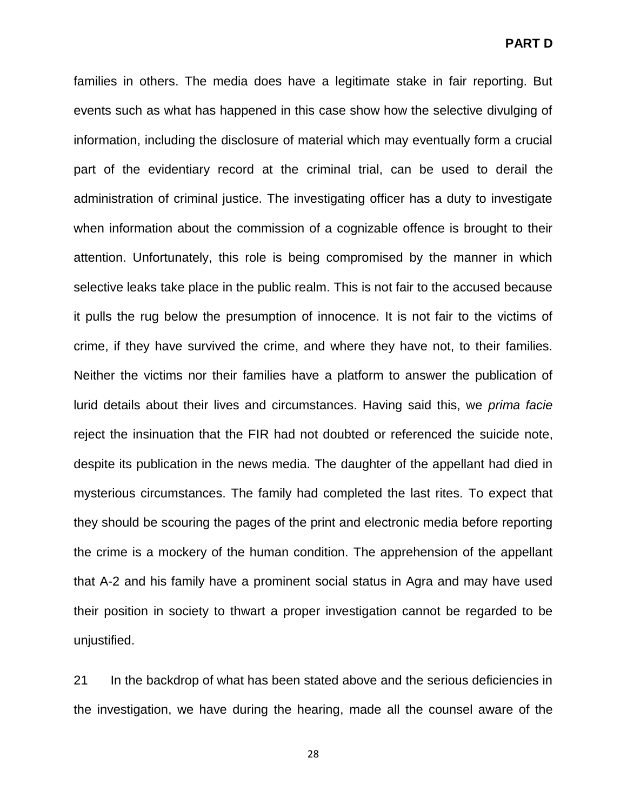families in others. The media does have a legitimate stake in fair reporting. But events such as what has happened in this case show how the selective divulging of information, including the disclosure of material which may eventually form a crucial part of the evidentiary record at the criminal trial, can be used to derail the administration of criminal justice. The investigating officer has a duty to investigate when information about the commission of a cognizable offence is brought to their attention. Unfortunately, this role is being compromised by the manner in which selective leaks take place in the public realm. This is not fair to the accused because it pulls the rug below the presumption of innocence. It is not fair to the victims of crime, if they have survived the crime, and where they have not, to their families. Neither the victims nor their families have a platform to answer the publication of lurid details about their lives and circumstances. Having said this, we *prima facie* reject the insinuation that the FIR had not doubted or referenced the suicide note, despite its publication in the news media. The daughter of the appellant had died in mysterious circumstances. The family had completed the last rites. To expect that they should be scouring the pages of the print and electronic media before reporting the crime is a mockery of the human condition. The apprehension of the appellant that A-2 and his family have a prominent social status in Agra and may have used their position in society to thwart a proper investigation cannot be regarded to be unjustified.

21 In the backdrop of what has been stated above and the serious deficiencies in the investigation, we have during the hearing, made all the counsel aware of the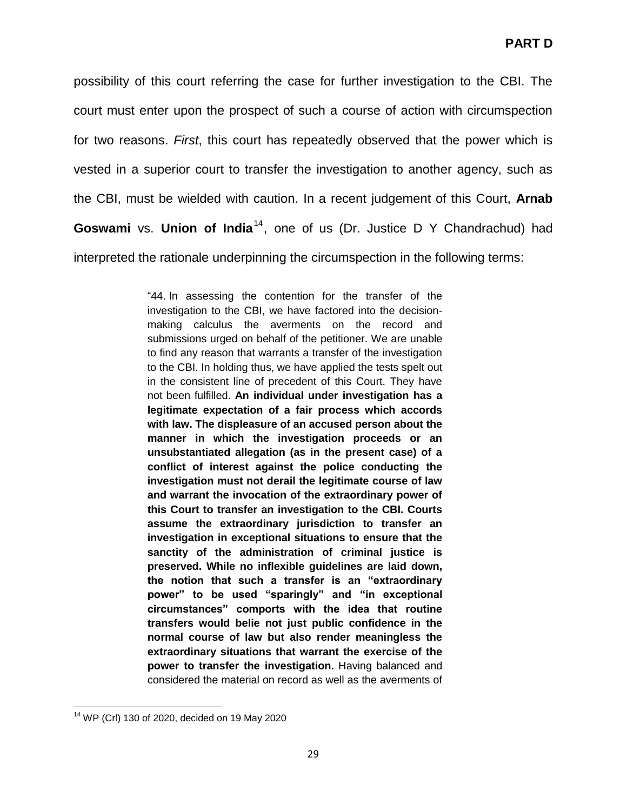possibility of this court referring the case for further investigation to the CBI. The court must enter upon the prospect of such a course of action with circumspection for two reasons. *First*, this court has repeatedly observed that the power which is vested in a superior court to transfer the investigation to another agency, such as the CBI, must be wielded with caution. In a recent judgement of this Court, **Arnab**  Goswami vs. Union of India<sup>14</sup>, one of us (Dr. Justice D Y Chandrachud) had interpreted the rationale underpinning the circumspection in the following terms:

> "44. In assessing the contention for the transfer of the investigation to the CBI, we have factored into the decisionmaking calculus the averments on the record and submissions urged on behalf of the petitioner. We are unable to find any reason that warrants a transfer of the investigation to the CBI. In holding thus, we have applied the tests spelt out in the consistent line of precedent of this Court. They have not been fulfilled. **An individual under investigation has a legitimate expectation of a fair process which accords with law. The displeasure of an accused person about the manner in which the investigation proceeds or an unsubstantiated allegation (as in the present case) of a conflict of interest against the police conducting the investigation must not derail the legitimate course of law and warrant the invocation of the extraordinary power of this Court to transfer an investigation to the CBI. Courts assume the extraordinary jurisdiction to transfer an investigation in exceptional situations to ensure that the sanctity of the administration of criminal justice is preserved. While no inflexible guidelines are laid down, the notion that such a transfer is an "extraordinary power" to be used "sparingly" and "in exceptional circumstances" comports with the idea that routine transfers would belie not just public confidence in the normal course of law but also render meaningless the extraordinary situations that warrant the exercise of the power to transfer the investigation.** Having balanced and considered the material on record as well as the averments of

l <sup>14</sup> WP (Crl) 130 of 2020, decided on 19 May 2020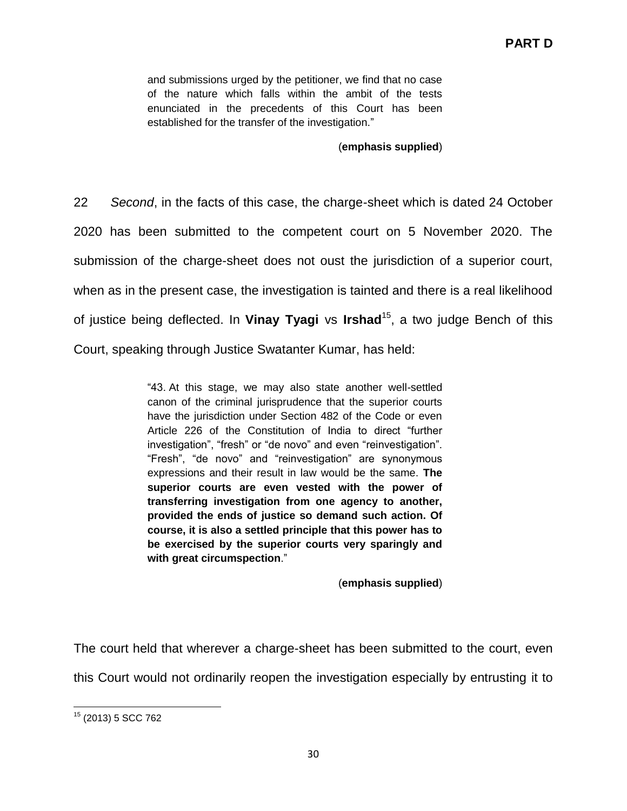and submissions urged by the petitioner, we find that no case of the nature which falls within the ambit of the tests enunciated in the precedents of this Court has been established for the transfer of the investigation."

(**emphasis supplied**)

22 *Second*, in the facts of this case, the charge-sheet which is dated 24 October 2020 has been submitted to the competent court on 5 November 2020. The submission of the charge-sheet does not oust the jurisdiction of a superior court, when as in the present case, the investigation is tainted and there is a real likelihood of justice being deflected. In **Vinay Tyagi** vs **Irshad**<sup>15</sup> , a two judge Bench of this Court, speaking through Justice Swatanter Kumar, has held:

> "43. At this stage, we may also state another well-settled canon of the criminal jurisprudence that the superior courts have the jurisdiction under Section 482 of the Code or even Article 226 of the Constitution of India to direct "further investigation", "fresh" or "de novo" and even "reinvestigation". "Fresh", "de novo" and "reinvestigation" are synonymous expressions and their result in law would be the same. **The superior courts are even vested with the power of transferring investigation from one agency to another, provided the ends of justice so demand such action. Of course, it is also a settled principle that this power has to be exercised by the superior courts very sparingly and with great circumspection**."

> > (**emphasis supplied**)

The court held that wherever a charge-sheet has been submitted to the court, even this Court would not ordinarily reopen the investigation especially by entrusting it to

l <sup>15</sup> (2013) 5 SCC 762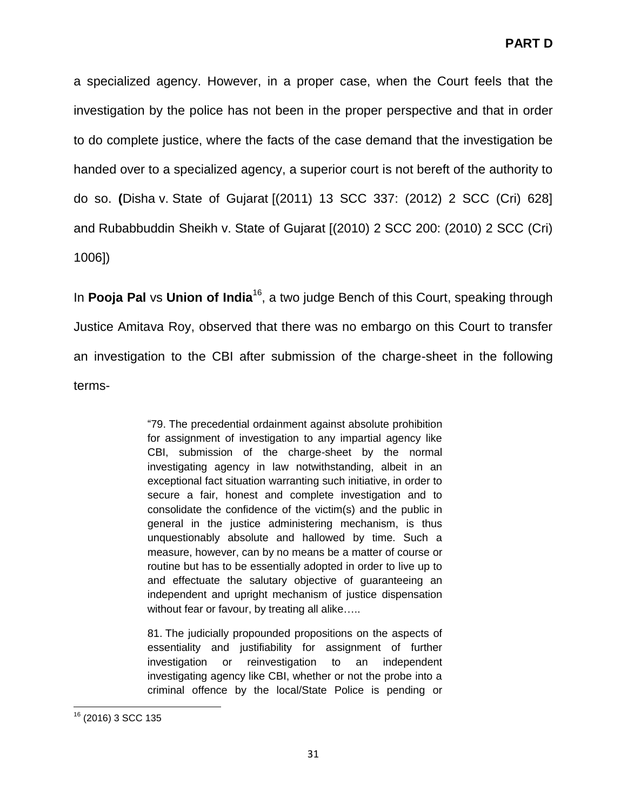a specialized agency. However, in a proper case, when the Court feels that the investigation by the police has not been in the proper perspective and that in order to do complete justice, where the facts of the case demand that the investigation be handed over to a specialized agency, a superior court is not bereft of the authority to do so. **(**Disha v. State of Gujarat [(2011) 13 SCC 337: (2012) 2 SCC (Cri) 628] and Rubabbuddin Sheikh v. State of Gujarat [(2010) 2 SCC 200: (2010) 2 SCC (Cri) 1006])

In **Pooja Pal** vs **Union of India**<sup>16</sup>, a two judge Bench of this Court, speaking through Justice Amitava Roy, observed that there was no embargo on this Court to transfer an investigation to the CBI after submission of the charge-sheet in the following terms-

> "79. The precedential ordainment against absolute prohibition for assignment of investigation to any impartial agency like CBI, submission of the charge-sheet by the normal investigating agency in law notwithstanding, albeit in an exceptional fact situation warranting such initiative, in order to secure a fair, honest and complete investigation and to consolidate the confidence of the victim(s) and the public in general in the justice administering mechanism, is thus unquestionably absolute and hallowed by time. Such a measure, however, can by no means be a matter of course or routine but has to be essentially adopted in order to live up to and effectuate the salutary objective of guaranteeing an independent and upright mechanism of justice dispensation without fear or favour, by treating all alike.....

> 81. The judicially propounded propositions on the aspects of essentiality and justifiability for assignment of further investigation or reinvestigation to an independent investigating agency like CBI, whether or not the probe into a criminal offence by the local/State Police is pending or

l <sup>16</sup> (2016) 3 SCC 135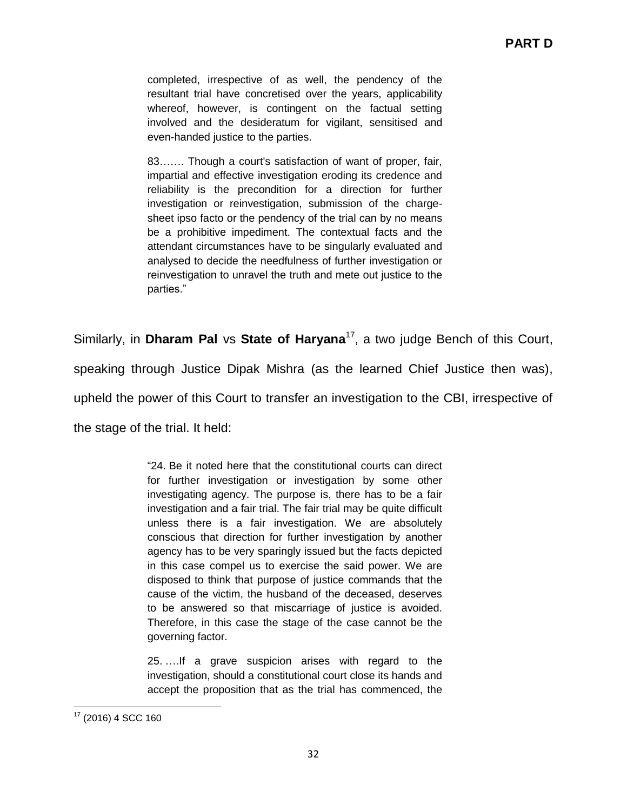completed, irrespective of as well, the pendency of the resultant trial have concretised over the years, applicability whereof, however, is contingent on the factual setting involved and the desideratum for vigilant, sensitised and even-handed justice to the parties.

83……. Though a court's satisfaction of want of proper, fair, impartial and effective investigation eroding its credence and reliability is the precondition for a direction for further investigation or reinvestigation, submission of the chargesheet ipso facto or the pendency of the trial can by no means be a prohibitive impediment. The contextual facts and the attendant circumstances have to be singularly evaluated and analysed to decide the needfulness of further investigation or reinvestigation to unravel the truth and mete out justice to the parties."

Similarly, in **Dharam Pal** vs **State of Haryana**<sup>17</sup>, a two judge Bench of this Court,

speaking through Justice Dipak Mishra (as the learned Chief Justice then was),

upheld the power of this Court to transfer an investigation to the CBI, irrespective of

the stage of the trial. It held:

"24. Be it noted here that the constitutional courts can direct for further investigation or investigation by some other investigating agency. The purpose is, there has to be a fair investigation and a fair trial. The fair trial may be quite difficult unless there is a fair investigation. We are absolutely conscious that direction for further investigation by another agency has to be very sparingly issued but the facts depicted in this case compel us to exercise the said power. We are disposed to think that purpose of justice commands that the cause of the victim, the husband of the deceased, deserves to be answered so that miscarriage of justice is avoided. Therefore, in this case the stage of the case cannot be the governing factor.

25. ….If a grave suspicion arises with regard to the investigation, should a constitutional court close its hands and accept the proposition that as the trial has commenced, the

l <sup>17</sup> (2016) 4 SCC 160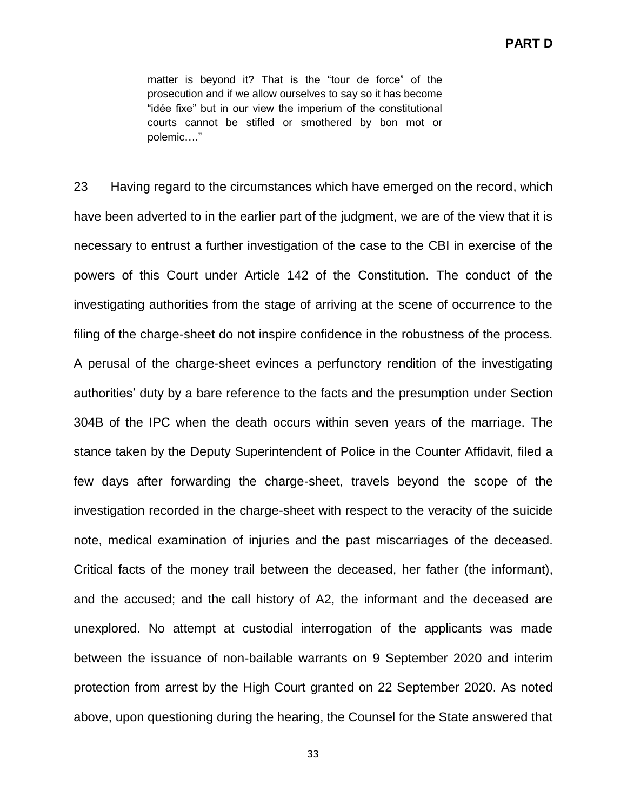matter is beyond it? That is the "tour de force" of the prosecution and if we allow ourselves to say so it has become "idée fixe" but in our view the imperium of the constitutional courts cannot be stifled or smothered by bon mot or polemic…."

23 Having regard to the circumstances which have emerged on the record, which have been adverted to in the earlier part of the judgment, we are of the view that it is necessary to entrust a further investigation of the case to the CBI in exercise of the powers of this Court under Article 142 of the Constitution. The conduct of the investigating authorities from the stage of arriving at the scene of occurrence to the filing of the charge-sheet do not inspire confidence in the robustness of the process. A perusal of the charge-sheet evinces a perfunctory rendition of the investigating authorities" duty by a bare reference to the facts and the presumption under Section 304B of the IPC when the death occurs within seven years of the marriage. The stance taken by the Deputy Superintendent of Police in the Counter Affidavit, filed a few days after forwarding the charge-sheet, travels beyond the scope of the investigation recorded in the charge-sheet with respect to the veracity of the suicide note, medical examination of injuries and the past miscarriages of the deceased. Critical facts of the money trail between the deceased, her father (the informant), and the accused; and the call history of A2, the informant and the deceased are unexplored. No attempt at custodial interrogation of the applicants was made between the issuance of non-bailable warrants on 9 September 2020 and interim protection from arrest by the High Court granted on 22 September 2020. As noted above, upon questioning during the hearing, the Counsel for the State answered that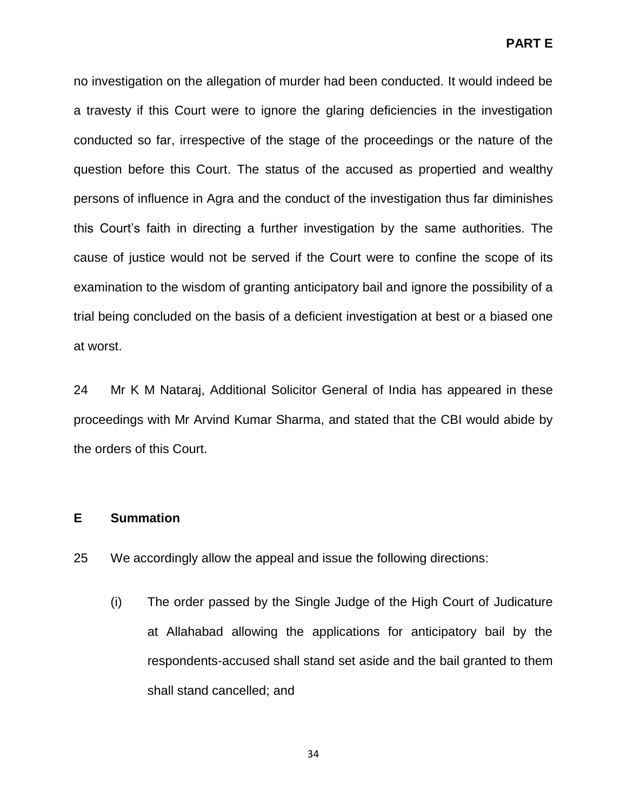no investigation on the allegation of murder had been conducted. It would indeed be a travesty if this Court were to ignore the glaring deficiencies in the investigation conducted so far, irrespective of the stage of the proceedings or the nature of the question before this Court. The status of the accused as propertied and wealthy persons of influence in Agra and the conduct of the investigation thus far diminishes this Court"s faith in directing a further investigation by the same authorities. The cause of justice would not be served if the Court were to confine the scope of its examination to the wisdom of granting anticipatory bail and ignore the possibility of a trial being concluded on the basis of a deficient investigation at best or a biased one at worst.

24 Mr K M Nataraj, Additional Solicitor General of India has appeared in these proceedings with Mr Arvind Kumar Sharma, and stated that the CBI would abide by the orders of this Court.

### **E Summation**

- 25 We accordingly allow the appeal and issue the following directions:
	- (i) The order passed by the Single Judge of the High Court of Judicature at Allahabad allowing the applications for anticipatory bail by the respondents-accused shall stand set aside and the bail granted to them shall stand cancelled; and